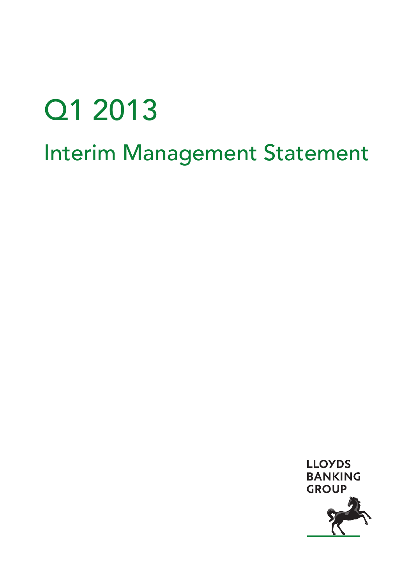# Q1 2013

# Interim Management Statement

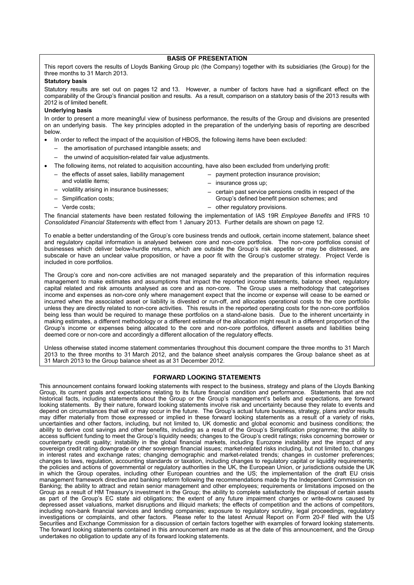#### **BASIS OF PRESENTATION**

This report covers the results of Lloyds Banking Group plc (the Company) together with its subsidiaries (the Group) for the three months to 31 March 2013.

#### **Statutory basis**

Statutory results are set out on pages 12 and 13. However, a number of factors have had a significant effect on the comparability of the Group's financial position and results. As a result, comparison on a statutory basis of the 2013 results with 2012 is of limited benefit.

#### **Underlying basis**

In order to present a more meaningful view of business performance, the results of the Group and divisions are presented on an underlying basis. The key principles adopted in the preparation of the underlying basis of reporting are described below.

- In order to reflect the impact of the acquisition of HBOS, the following items have been excluded:
	- the amortisation of purchased intangible assets; and
	- the unwind of acquisition-related fair value adjustments.
- The following items, not related to acquisition accounting, have also been excluded from underlying profit:
	- the effects of asset sales, liability management and volatile items; – payment protection insurance provision;
	- volatility arising in insurance businesses;
	- Simplification costs;
	- Verde costs;
- insurance gross up;
- certain past service pensions credits in respect of the Group's defined benefit pension schemes; and
- other regulatory provisions.

The financial statements have been restated following the implementation of IAS 19R *Employee Benefits* and IFRS 10 *Consolidated Financial Statements* with effect from 1 January 2013. Further details are shown on page 12.

To enable a better understanding of the Group's core business trends and outlook, certain income statement, balance sheet and regulatory capital information is analysed between core and non-core portfolios. The non-core portfolios consist of businesses which deliver below-hurdle returns, which are outside the Group's risk appetite or may be distressed, are subscale or have an unclear value proposition, or have a poor fit with the Group's customer strategy. Project Verde is included in core portfolios.

The Group's core and non-core activities are not managed separately and the preparation of this information requires management to make estimates and assumptions that impact the reported income statements, balance sheet, regulatory capital related and risk amounts analysed as core and as non-core. The Group uses a methodology that categorises income and expenses as non-core only where management expect that the income or expense will cease to be earned or incurred when the associated asset or liability is divested or run-off, and allocates operational costs to the core portfolio unless they are directly related to non-core activities. This results in the reported operating costs for the non-core portfolios being less than would be required to manage these portfolios on a stand-alone basis. Due to the inherent uncertainty in making estimates, a different methodology or a different estimate of the allocation might result in a different proportion of the Group's income or expenses being allocated to the core and non-core portfolios, different assets and liabilities being deemed core or non-core and accordingly a different allocation of the regulatory effects.

Unless otherwise stated income statement commentaries throughout this document compare the three months to 31 March 2013 to the three months to 31 March 2012, and the balance sheet analysis compares the Group balance sheet as at 31 March 2013 to the Group balance sheet as at 31 December 2012.

#### **FORWARD LOOKING STATEMENTS**

This announcement contains forward looking statements with respect to the business, strategy and plans of the Lloyds Banking Group, its current goals and expectations relating to its future financial condition and performance. Statements that are not historical facts, including statements about the Group or the Group's management's beliefs and expectations, are forward looking statements. By their nature, forward looking statements involve risk and uncertainty because they relate to events and depend on circumstances that will or may occur in the future. The Group's actual future business, strategy, plans and/or results may differ materially from those expressed or implied in these forward looking statements as a result of a variety of risks, uncertainties and other factors, including, but not limited to, UK domestic and global economic and business conditions; the ability to derive cost savings and other benefits, including as a result of the Group's Simplification programme; the ability to access sufficient funding to meet the Group's liquidity needs; changes to the Group's credit ratings; risks concerning borrower or counterparty credit quality; instability in the global financial markets, including Eurozone instability and the impact of any sovereign credit rating downgrade or other sovereign financial issues; market-related risks including, but not limited to, changes in interest rates and exchange rates; changing demographic and market-related trends; changes in customer preferences; changes to laws, regulation, accounting standards or taxation, including changes to regulatory capital or liquidity requirements; the policies and actions of governmental or regulatory authorities in the UK, the European Union, or jurisdictions outside the UK in which the Group operates, including other European countries and the US; the implementation of the draft EU crisis management framework directive and banking reform following the recommendations made by the Independent Commission on Banking; the ability to attract and retain senior management and other employees; requirements or limitations imposed on the Group as a result of HM Treasury's investment in the Group; the ability to complete satisfactorily the disposal of certain assets as part of the Group's EC state aid obligations; the extent of any future impairment charges or write-downs caused by depressed asset valuations, market disruptions and illiquid markets; the effects of competition and the actions of competitors, including non-bank financial services and lending companies; exposure to regulatory scrutiny, legal proceedings, regulatory investigations or complaints, and other factors. Please refer to the latest Annual Report on Form 20-F filed with the US Securities and Exchange Commission for a discussion of certain factors together with examples of forward looking statements. The forward looking statements contained in this announcement are made as at the date of this announcement, and the Group undertakes no obligation to update any of its forward looking statements.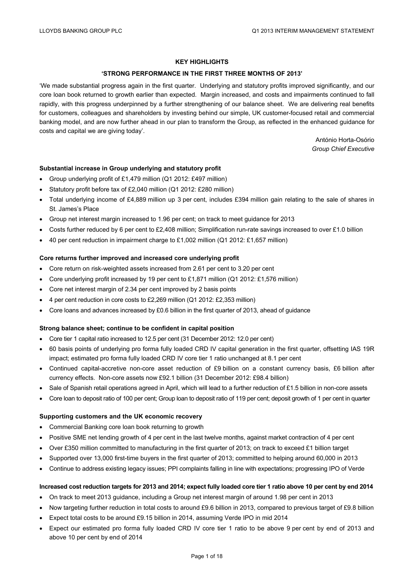#### **KEY HIGHLIGHTS**

#### **'STRONG PERFORMANCE IN THE FIRST THREE MONTHS OF 2013'**

'We made substantial progress again in the first quarter. Underlying and statutory profits improved significantly, and our core loan book returned to growth earlier than expected. Margin increased, and costs and impairments continued to fall rapidly, with this progress underpinned by a further strengthening of our balance sheet. We are delivering real benefits for customers, colleagues and shareholders by investing behind our simple, UK customer-focused retail and commercial banking model, and are now further ahead in our plan to transform the Group, as reflected in the enhanced guidance for costs and capital we are giving today'.

> António Horta-Osório *Group Chief Executive*

#### **Substantial increase in Group underlying and statutory profit**

- Group underlying profit of £1,479 million (Q1 2012: £497 million)
- Statutory profit before tax of £2,040 million (Q1 2012: £280 million)
- Total underlying income of £4,889 million up 3 per cent, includes £394 million gain relating to the sale of shares in St. James's Place
- Group net interest margin increased to 1.96 per cent; on track to meet guidance for 2013
- Costs further reduced by 6 per cent to £2,408 million; Simplification run-rate savings increased to over £1.0 billion
- $\bullet$  40 per cent reduction in impairment charge to £1,002 million (Q1 2012: £1,657 million)

#### **Core returns further improved and increased core underlying profit**

- Core return on risk-weighted assets increased from 2.61 per cent to 3.20 per cent
- Core underlying profit increased by 19 per cent to £1,871 million (Q1 2012: £1,576 million)
- Core net interest margin of 2.34 per cent improved by 2 basis points
- 4 per cent reduction in core costs to £2,269 million (Q1 2012: £2,353 million)
- $\bullet$  Core loans and advances increased by £0.6 billion in the first quarter of 2013, ahead of guidance

#### **Strong balance sheet; continue to be confident in capital position**

- Core tier 1 capital ratio increased to 12.5 per cent (31 December 2012: 12.0 per cent)
- 60 basis points of underlying pro forma fully loaded CRD IV capital generation in the first quarter, offsetting IAS 19R impact; estimated pro forma fully loaded CRD IV core tier 1 ratio unchanged at 8.1 per cent
- Continued capital-accretive non-core asset reduction of £9 billion on a constant currency basis, £6 billion after currency effects. Non-core assets now £92.1 billion (31 December 2012: £98.4 billion)
- $\bullet$  Sale of Spanish retail operations agreed in April, which will lead to a further reduction of £1.5 billion in non-core assets
- Core loan to deposit ratio of 100 per cent; Group loan to deposit ratio of 119 per cent; deposit growth of 1 per cent in quarter

#### **Supporting customers and the UK economic recovery**

- Commercial Banking core loan book returning to growth
- Positive SME net lending growth of 4 per cent in the last twelve months, against market contraction of 4 per cent
- Over £350 million committed to manufacturing in the first quarter of 2013; on track to exceed £1 billion target
- Supported over 13,000 first-time buyers in the first quarter of 2013; committed to helping around 60,000 in 2013
- Continue to address existing legacy issues; PPI complaints falling in line with expectations; progressing IPO of Verde

#### **Increased cost reduction targets for 2013 and 2014; expect fully loaded core tier 1 ratio above 10 per cent by end 2014**

- On track to meet 2013 guidance, including a Group net interest margin of around 1.98 per cent in 2013
- Now targeting further reduction in total costs to around £9.6 billion in 2013, compared to previous target of £9.8 billion
- Expect total costs to be around £9.15 billion in 2014, assuming Verde IPO in mid 2014
- Expect our estimated pro forma fully loaded CRD IV core tier 1 ratio to be above 9 per cent by end of 2013 and above 10 per cent by end of 2014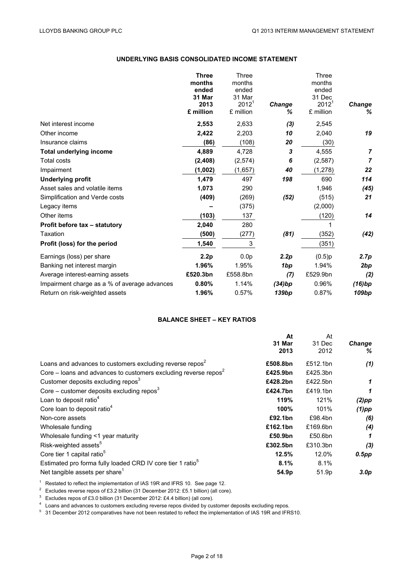### **UNDERLYING BASIS CONSOLIDATED INCOME STATEMENT**

| months   | months                                               |                                                   | months             |                                                            |
|----------|------------------------------------------------------|---------------------------------------------------|--------------------|------------------------------------------------------------|
|          | ended                                                |                                                   |                    |                                                            |
|          |                                                      |                                                   |                    |                                                            |
|          |                                                      |                                                   |                    | Change                                                     |
|          |                                                      |                                                   |                    | ℅                                                          |
| 2,553    | 2,633                                                | (3)                                               | 2,545              |                                                            |
| 2,422    | 2,203                                                | 10                                                | 2,040              | 19                                                         |
| (86)     | (108)                                                | 20                                                | (30)               |                                                            |
| 4,889    | 4,728                                                | 3                                                 | 4,555              | 7                                                          |
| (2, 408) | (2,574)                                              | 6                                                 | (2,587)            | $\overline{7}$                                             |
| (1,002)  | (1,657)                                              | 40                                                | (1, 278)           | 22                                                         |
| 1,479    | 497                                                  | 198                                               | 690                | 114                                                        |
| 1,073    | 290                                                  |                                                   | 1,946              | (45)                                                       |
| (409)    | (269)                                                | (52)                                              | (515)              | 21                                                         |
|          | (375)                                                |                                                   | (2,000)            |                                                            |
| (103)    | 137                                                  |                                                   | (120)              | 14                                                         |
| 2,040    | 280                                                  |                                                   |                    |                                                            |
| (500)    | (277)                                                | (81)                                              | (352)              | (42)                                                       |
| 1,540    | 3                                                    |                                                   | (351)              |                                                            |
| 2.2p     | 0.0 <sub>p</sub>                                     | 2.2p                                              | (0.5)p             | 2.7p                                                       |
| 1.96%    | 1.95%                                                | 1bp                                               | 1.94%              | 2bp                                                        |
| £520.3bn | £558.8bn                                             | (7)                                               | £529.9bn           | (2)                                                        |
| 0.80%    | 1.14%                                                | (34)bp                                            | 0.96%              | (16)bp                                                     |
| 1.96%    | 0.57%                                                | 139 <sub>bp</sub>                                 | 0.87%              | 109bp                                                      |
|          | <b>Three</b><br>ended<br>31 Mar<br>2013<br>£ million | Three<br>31 Mar<br>2012 <sup>1</sup><br>£ million | <b>Change</b><br>℅ | Three<br>ended<br>31 Dec<br>2012 <sup>1</sup><br>£ million |

# **BALANCE SHEET – KEY RATIOS**

|                                                                             | At                | At       |                  |
|-----------------------------------------------------------------------------|-------------------|----------|------------------|
|                                                                             | 31 Mar            | 31 Dec   | Change           |
|                                                                             | 2013              | 2012     | ℅                |
| Loans and advances to customers excluding reverse repos <sup>2</sup>        | £508.8bn          | £512.1bn | (1)              |
| Core – loans and advances to customers excluding reverse repos <sup>2</sup> | £425.9bn          | £425.3bn |                  |
| Customer deposits excluding repos <sup>3</sup>                              | £428.2bn          | £422.5bn |                  |
| Core – customer deposits excluding repos <sup>3</sup>                       | £424.7bn          | £419.1bn | 1                |
| Loan to deposit ratio <sup>4</sup>                                          | 119%              | 121%     | $(2)$ pp         |
| Core loan to deposit ratio <sup>4</sup>                                     | 100%              | 101%     | $(1)$ pp         |
| Non-core assets                                                             | £92.1bn           | £98.4bn  | (6)              |
| Wholesale funding                                                           | £162.1bn          | £169.6bn | (4)              |
| Wholesale funding <1 year maturity                                          | £50.9bn           | £50.6bn  | 1                |
| Risk-weighted assets <sup>5</sup>                                           | £302.5bn          | £310.3bn | $(3)$            |
| Core tier 1 capital ratio <sup>5</sup>                                      | 12.5%             | 12.0%    | $0.5$ pp         |
| Estimated pro forma fully loaded CRD IV core tier 1 ratio <sup>5</sup>      | 8.1%              | 8.1%     |                  |
| Net tangible assets per share <sup>1</sup>                                  | 54.9 <sub>p</sub> | 51.9p    | 3.0 <sub>D</sub> |
|                                                                             |                   |          |                  |

<sup>1</sup> Restated to reflect the implementation of IAS 19R and IFRS 10. See page 12.<br>
<sup>2</sup> Excludes reverse repos of £3.2 billion (31 December 2012: £5.1 billion) (all core).<br>
<sup>3</sup> Excludes repos of £3.0 billion (31 December 201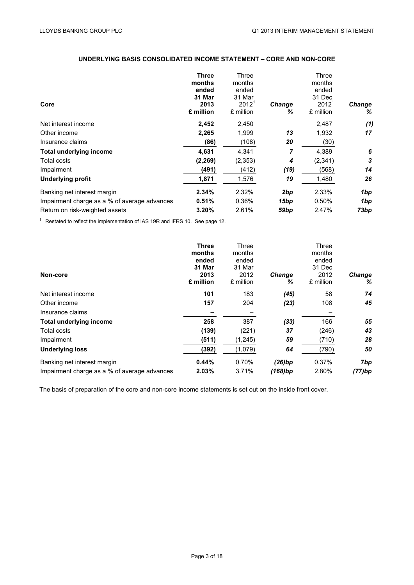# **UNDERLYING BASIS CONSOLIDATED INCOME STATEMENT – CORE AND NON-CORE**

|                                              | <b>Three</b> | Three     |                  | Three             |        |
|----------------------------------------------|--------------|-----------|------------------|-------------------|--------|
|                                              | months       | months    |                  | months            |        |
|                                              | ended        | ended     |                  | ended             |        |
|                                              | 31 Mar       | 31 Mar    |                  | 31 Dec            |        |
| Core                                         | 2013         | $2012^1$  | Change           | 2012 <sup>1</sup> | Change |
|                                              | £ million    | £ million | ℅                | £ million         | ℅      |
| Net interest income                          | 2,452        | 2,450     |                  | 2,487             | (1)    |
| Other income                                 | 2,265        | 1,999     | 13               | 1,932             | 17     |
| Insurance claims                             | (86)         | (108)     | 20               | (30)              |        |
| <b>Total underlying income</b>               | 4,631        | 4,341     | 7                | 4,389             | 6      |
| Total costs                                  | (2, 269)     | (2,353)   | 4                | (2, 341)          | 3      |
| Impairment                                   | (491)        | (412)     | (19)             | (568)             | 14     |
| <b>Underlying profit</b>                     | 1,871        | 1,576     | 19               | 1,480             | 26     |
| Banking net interest margin                  | 2.34%        | 2.32%     | 2bp              | 2.33%             | 1bp    |
| Impairment charge as a % of average advances | 0.51%        | 0.36%     | 15bp             | 0.50%             | 1bp    |
| Return on risk-weighted assets               | 3.20%        | 2.61%     | 59 <sub>bp</sub> | 2.47%             | 73bp   |

<sup>1</sup> Restated to reflect the implementation of IAS 19R and IFRS 10. See page 12.

| Non-core                                     | Three<br>months<br>ended<br>31 Mar<br>2013<br>£ million | Three<br>months<br>ended<br>31 Mar<br>2012<br>£ million | <b>Change</b><br>℅ | Three<br>months<br>ended<br>31 Dec<br>2012<br>£ million | <b>Change</b><br>℅ |
|----------------------------------------------|---------------------------------------------------------|---------------------------------------------------------|--------------------|---------------------------------------------------------|--------------------|
| Net interest income                          | 101                                                     | 183                                                     | (45)               | 58                                                      | 74                 |
| Other income                                 | 157                                                     | 204                                                     | (23)               | 108                                                     | 45                 |
| Insurance claims                             |                                                         |                                                         |                    |                                                         |                    |
| <b>Total underlying income</b>               | 258                                                     | 387                                                     | (33)               | 166                                                     | 55                 |
| Total costs                                  | (139)                                                   | (221)                                                   | 37                 | (246)                                                   | 43                 |
| Impairment                                   | (511)                                                   | (1,245)                                                 | 59                 | (710)                                                   | 28                 |
| <b>Underlying loss</b>                       | (392)                                                   | (1,079)                                                 | 64                 | (790)                                                   | 50                 |
| Banking net interest margin                  | 0.44%                                                   | 0.70%                                                   | (26)bp             | 0.37%                                                   | 7bp                |
| Impairment charge as a % of average advances | 2.03%                                                   | 3.71%                                                   | (168)bp            | 2.80%                                                   | (77)bp             |

The basis of preparation of the core and non-core income statements is set out on the inside front cover.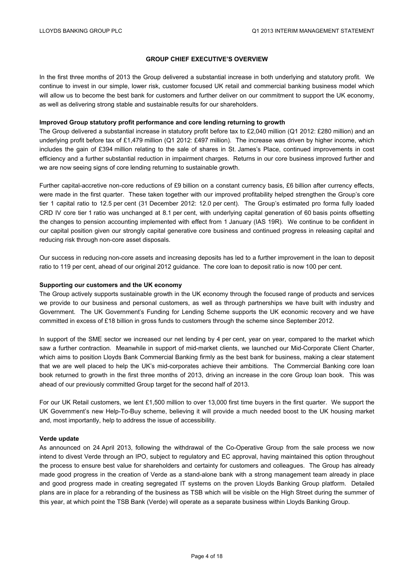#### **GROUP CHIEF EXECUTIVE'S OVERVIEW**

In the first three months of 2013 the Group delivered a substantial increase in both underlying and statutory profit. We continue to invest in our simple, lower risk, customer focused UK retail and commercial banking business model which will allow us to become the best bank for customers and further deliver on our commitment to support the UK economy, as well as delivering strong stable and sustainable results for our shareholders.

#### **Improved Group statutory profit performance and core lending returning to growth**

The Group delivered a substantial increase in statutory profit before tax to £2,040 million (Q1 2012: £280 million) and an underlying profit before tax of £1,479 million (Q1 2012: £497 million). The increase was driven by higher income, which includes the gain of £394 million relating to the sale of shares in St. James's Place, continued improvements in cost efficiency and a further substantial reduction in impairment charges. Returns in our core business improved further and we are now seeing signs of core lending returning to sustainable growth.

Further capital-accretive non-core reductions of £9 billion on a constant currency basis, £6 billion after currency effects, were made in the first quarter. These taken together with our improved profitability helped strengthen the Group's core tier 1 capital ratio to 12.5 per cent (31 December 2012: 12.0 per cent). The Group's estimated pro forma fully loaded CRD IV core tier 1 ratio was unchanged at 8.1 per cent, with underlying capital generation of 60 basis points offsetting the changes to pension accounting implemented with effect from 1 January (IAS 19R). We continue to be confident in our capital position given our strongly capital generative core business and continued progress in releasing capital and reducing risk through non-core asset disposals.

Our success in reducing non-core assets and increasing deposits has led to a further improvement in the loan to deposit ratio to 119 per cent, ahead of our original 2012 guidance. The core loan to deposit ratio is now 100 per cent.

#### **Supporting our customers and the UK economy**

The Group actively supports sustainable growth in the UK economy through the focused range of products and services we provide to our business and personal customers, as well as through partnerships we have built with industry and Government. The UK Government's Funding for Lending Scheme supports the UK economic recovery and we have committed in excess of £18 billion in gross funds to customers through the scheme since September 2012.

In support of the SME sector we increased our net lending by 4 per cent, year on year, compared to the market which saw a further contraction. Meanwhile in support of mid-market clients, we launched our Mid-Corporate Client Charter, which aims to position Lloyds Bank Commercial Banking firmly as the best bank for business, making a clear statement that we are well placed to help the UK's mid-corporates achieve their ambitions. The Commercial Banking core loan book returned to growth in the first three months of 2013, driving an increase in the core Group loan book. This was ahead of our previously committed Group target for the second half of 2013.

For our UK Retail customers, we lent £1,500 million to over 13,000 first time buyers in the first quarter. We support the UK Government's new Help-To-Buy scheme, believing it will provide a much needed boost to the UK housing market and, most importantly, help to address the issue of accessibility.

#### **Verde update**

As announced on 24 April 2013, following the withdrawal of the Co-Operative Group from the sale process we now intend to divest Verde through an IPO, subject to regulatory and EC approval, having maintained this option throughout the process to ensure best value for shareholders and certainty for customers and colleagues. The Group has already made good progress in the creation of Verde as a stand-alone bank with a strong management team already in place and good progress made in creating segregated IT systems on the proven Lloyds Banking Group platform. Detailed plans are in place for a rebranding of the business as TSB which will be visible on the High Street during the summer of this year, at which point the TSB Bank (Verde) will operate as a separate business within Lloyds Banking Group.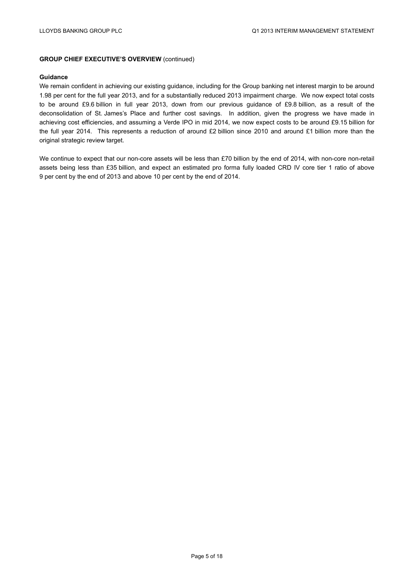## **GROUP CHIEF EXECUTIVE'S OVERVIEW** (continued)

#### **Guidance**

We remain confident in achieving our existing guidance, including for the Group banking net interest margin to be around 1.98 per cent for the full year 2013, and for a substantially reduced 2013 impairment charge. We now expect total costs to be around £9.6 billion in full year 2013, down from our previous guidance of £9.8 billion, as a result of the deconsolidation of St. James's Place and further cost savings. In addition, given the progress we have made in achieving cost efficiencies, and assuming a Verde IPO in mid 2014, we now expect costs to be around £9.15 billion for the full year 2014. This represents a reduction of around £2 billion since 2010 and around £1 billion more than the original strategic review target.

We continue to expect that our non-core assets will be less than £70 billion by the end of 2014, with non-core non-retail assets being less than £35 billion, and expect an estimated pro forma fully loaded CRD IV core tier 1 ratio of above 9 per cent by the end of 2013 and above 10 per cent by the end of 2014.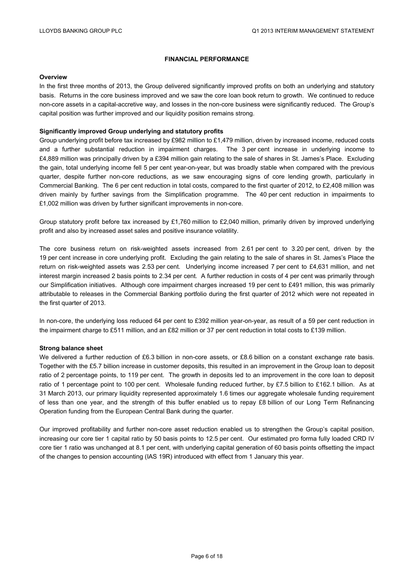#### **FINANCIAL PERFORMANCE**

#### **Overview**

In the first three months of 2013, the Group delivered significantly improved profits on both an underlying and statutory basis. Returns in the core business improved and we saw the core loan book return to growth. We continued to reduce non-core assets in a capital-accretive way, and losses in the non-core business were significantly reduced. The Group's capital position was further improved and our liquidity position remains strong.

#### **Significantly improved Group underlying and statutory profits**

Group underlying profit before tax increased by £982 million to £1,479 million, driven by increased income, reduced costs and a further substantial reduction in impairment charges. The 3 per cent increase in underlying income to £4,889 million was principally driven by a £394 million gain relating to the sale of shares in St. James's Place. Excluding the gain, total underlying income fell 5 per cent year-on-year, but was broadly stable when compared with the previous quarter, despite further non-core reductions, as we saw encouraging signs of core lending growth, particularly in Commercial Banking. The 6 per cent reduction in total costs, compared to the first quarter of 2012, to £2,408 million was driven mainly by further savings from the Simplification programme. The 40 per cent reduction in impairments to £1,002 million was driven by further significant improvements in non-core.

Group statutory profit before tax increased by £1,760 million to £2,040 million, primarily driven by improved underlying profit and also by increased asset sales and positive insurance volatility.

The core business return on risk-weighted assets increased from 2.61 per cent to 3.20 per cent, driven by the 19 per cent increase in core underlying profit. Excluding the gain relating to the sale of shares in St. James's Place the return on risk-weighted assets was 2.53 per cent. Underlying income increased 7 per cent to £4,631 million, and net interest margin increased 2 basis points to 2.34 per cent. A further reduction in costs of 4 per cent was primarily through our Simplification initiatives. Although core impairment charges increased 19 per cent to £491 million, this was primarily attributable to releases in the Commercial Banking portfolio during the first quarter of 2012 which were not repeated in the first quarter of 2013.

In non-core, the underlying loss reduced 64 per cent to £392 million year-on-year, as result of a 59 per cent reduction in the impairment charge to £511 million, and an £82 million or 37 per cent reduction in total costs to £139 million.

#### **Strong balance sheet**

We delivered a further reduction of £6.3 billion in non-core assets, or £8.6 billion on a constant exchange rate basis. Together with the £5.7 billion increase in customer deposits, this resulted in an improvement in the Group loan to deposit ratio of 2 percentage points, to 119 per cent. The growth in deposits led to an improvement in the core loan to deposit ratio of 1 percentage point to 100 per cent. Wholesale funding reduced further, by £7.5 billion to £162.1 billion. As at 31 March 2013, our primary liquidity represented approximately 1.6 times our aggregate wholesale funding requirement of less than one year, and the strength of this buffer enabled us to repay £8 billion of our Long Term Refinancing Operation funding from the European Central Bank during the quarter.

Our improved profitability and further non-core asset reduction enabled us to strengthen the Group's capital position, increasing our core tier 1 capital ratio by 50 basis points to 12.5 per cent. Our estimated pro forma fully loaded CRD IV core tier 1 ratio was unchanged at 8.1 per cent, with underlying capital generation of 60 basis points offsetting the impact of the changes to pension accounting (IAS 19R) introduced with effect from 1 January this year.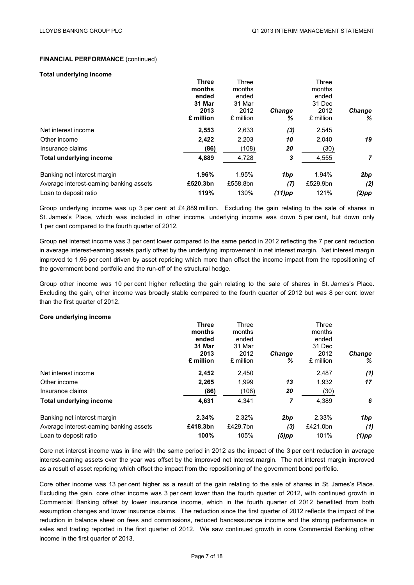#### **Total underlying income**

| <b>Three</b> | Three     |               | Three     |                |
|--------------|-----------|---------------|-----------|----------------|
| months       | months    |               | months    |                |
| ended        | ended     |               | ended     |                |
| 31 Mar       | 31 Mar    |               | 31 Dec    |                |
| 2013         | 2012      | <b>Change</b> | 2012      | <b>Change</b>  |
| £ million    | £ million | ℅             | £ million | %              |
| 2,553        | 2,633     | (3)           | 2,545     |                |
| 2.422        | 2,203     | 10            | 2.040     | 19             |
| (86)         | (108)     | 20            | (30)      |                |
| 4,889        | 4,728     | 3             | 4,555     | $\overline{7}$ |
| 1.96%        | 1.95%     | 1bp           | 1.94%     | 2bp            |
| £520.3bn     | £558.8bn  | (7)           | £529.9bn  | (2)            |
| 119%         | 130%      | $(11)$ pp     | 121%      | $(2)$ pp       |
|              |           |               |           |                |

Group underlying income was up 3 per cent at £4,889 million. Excluding the gain relating to the sale of shares in St. James's Place, which was included in other income, underlying income was down 5 per cent, but down only 1 per cent compared to the fourth quarter of 2012.

Group net interest income was 3 per cent lower compared to the same period in 2012 reflecting the 7 per cent reduction in average interest-earning assets partly offset by the underlying improvement in net interest margin. Net interest margin improved to 1.96 per cent driven by asset repricing which more than offset the income impact from the repositioning of the government bond portfolio and the run-off of the structural hedge.

Group other income was 10 per cent higher reflecting the gain relating to the sale of shares in St. James's Place. Excluding the gain, other income was broadly stable compared to the fourth quarter of 2012 but was 8 per cent lower than the first quarter of 2012.

#### **Core underlying income**

|                                         | <b>Three</b> | Three     |               | Three     |          |
|-----------------------------------------|--------------|-----------|---------------|-----------|----------|
|                                         | months       | months    |               | months    |          |
|                                         | ended        | ended     |               | ended     |          |
|                                         | 31 Mar       | 31 Mar    |               | 31 Dec    |          |
|                                         | 2013         | 2012      | <b>Change</b> | 2012      | Change   |
|                                         | £ million    | £ million | %             | £ million | %        |
| Net interest income                     | 2,452        | 2,450     |               | 2,487     | (1)      |
| Other income                            | 2,265        | 1,999     | 13            | 1,932     | 17       |
| Insurance claims                        | (86)         | (108)     | 20            | (30)      |          |
| Total underlying income                 | 4,631        | 4,341     | 7             | 4,389     | 6        |
| Banking net interest margin             | 2.34%        | 2.32%     | 2bp           | 2.33%     | 1bp      |
| Average interest-earning banking assets | £418.3bn     | £429.7bn  | (3)           | £421.0bn  | (1)      |
| Loan to deposit ratio                   | 100%         | 105%      | $(5)$ pp      | 101%      | $(1)$ pp |

Core net interest income was in line with the same period in 2012 as the impact of the 3 per cent reduction in average interest-earning assets over the year was offset by the improved net interest margin. The net interest margin improved as a result of asset repricing which offset the impact from the repositioning of the government bond portfolio.

Core other income was 13 per cent higher as a result of the gain relating to the sale of shares in St. James's Place. Excluding the gain, core other income was 3 per cent lower than the fourth quarter of 2012, with continued growth in Commercial Banking offset by lower insurance income, which in the fourth quarter of 2012 benefited from both assumption changes and lower insurance claims. The reduction since the first quarter of 2012 reflects the impact of the reduction in balance sheet on fees and commissions, reduced bancassurance income and the strong performance in sales and trading reported in the first quarter of 2012. We saw continued growth in core Commercial Banking other income in the first quarter of 2013.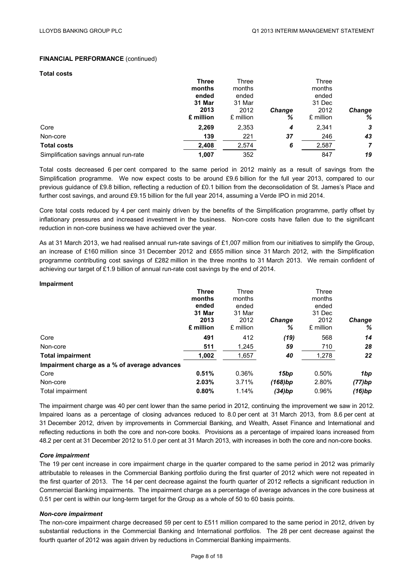#### **Total costs**

|                                        | <b>Three</b> | Three     |               | Three     |        |
|----------------------------------------|--------------|-----------|---------------|-----------|--------|
|                                        | months       | months    |               | months    |        |
|                                        | ended        | ended     |               | ended     |        |
|                                        | 31 Mar       | 31 Mar    |               | 31 Dec    |        |
|                                        | 2013         | 2012      | <b>Change</b> | 2012      | Change |
|                                        | £ million    | £ million | %             | £ million | %      |
| Core                                   | 2,269        | 2,353     | 4             | 2,341     | 3      |
| Non-core                               | 139          | 221       | 37            | 246       | 43     |
| <b>Total costs</b>                     | 2,408        | 2,574     | 6             | 2,587     | 7      |
| Simplification savings annual run-rate | 1,007        | 352       |               | 847       | 19     |

Total costs decreased 6 per cent compared to the same period in 2012 mainly as a result of savings from the Simplification programme. We now expect costs to be around £9.6 billion for the full year 2013, compared to our previous guidance of £9.8 billion, reflecting a reduction of £0.1 billion from the deconsolidation of St. James's Place and further cost savings, and around £9.15 billion for the full year 2014, assuming a Verde IPO in mid 2014.

Core total costs reduced by 4 per cent mainly driven by the benefits of the Simplification programme, partly offset by inflationary pressures and increased investment in the business. Non-core costs have fallen due to the significant reduction in non-core business we have achieved over the year.

As at 31 March 2013, we had realised annual run-rate savings of £1,007 million from our initiatives to simplify the Group, an increase of £160 million since 31 December 2012 and £655 million since 31 March 2012, with the Simplification programme contributing cost savings of £282 million in the three months to 31 March 2013. We remain confident of achieving our target of £1.9 billion of annual run-rate cost savings by the end of 2014.

#### **Impairment**

|                                              | <b>Three</b> | Three     |               | Three     |        |
|----------------------------------------------|--------------|-----------|---------------|-----------|--------|
|                                              | months       | months    |               | months    |        |
|                                              | ended        | ended     |               | ended     |        |
|                                              | 31 Mar       | 31 Mar    |               | 31 Dec    |        |
|                                              | 2013         | 2012      | <b>Change</b> | 2012      | Change |
|                                              | £ million    | £ million | ℅             | £ million | %      |
| Core                                         | 491          | 412       | (19)          | 568       | 14     |
| Non-core                                     | 511          | 1,245     | 59            | 710       | 28     |
| <b>Total impairment</b>                      | 1,002        | 1,657     | 40            | 1,278     | 22     |
| Impairment charge as a % of average advances |              |           |               |           |        |
| Core                                         | 0.51%        | 0.36%     | 15bp          | 0.50%     | 1bp    |
| Non-core                                     | 2.03%        | 3.71%     | (168)bp       | 2.80%     | (77)bp |
| Total impairment                             | 0.80%        | 1.14%     | (34)bp        | 0.96%     | (16)bp |

The impairment charge was 40 per cent lower than the same period in 2012, continuing the improvement we saw in 2012. Impaired loans as a percentage of closing advances reduced to 8.0 per cent at 31 March 2013, from 8.6 per cent at 31 December 2012, driven by improvements in Commercial Banking, and Wealth, Asset Finance and International and reflecting reductions in both the core and non-core books. Provisions as a percentage of impaired loans increased from 48.2 per cent at 31 December 2012 to 51.0 per cent at 31 March 2013, with increases in both the core and non-core books.

#### *Core impairment*

The 19 per cent increase in core impairment charge in the quarter compared to the same period in 2012 was primarily attributable to releases in the Commercial Banking portfolio during the first quarter of 2012 which were not repeated in the first quarter of 2013. The 14 per cent decrease against the fourth quarter of 2012 reflects a significant reduction in Commercial Banking impairments. The impairment charge as a percentage of average advances in the core business at 0.51 per cent is within our long-term target for the Group as a whole of 50 to 60 basis points.

#### *Non-core impairment*

The non-core impairment charge decreased 59 per cent to £511 million compared to the same period in 2012, driven by substantial reductions in the Commercial Banking and International portfolios. The 28 per cent decrease against the fourth quarter of 2012 was again driven by reductions in Commercial Banking impairments.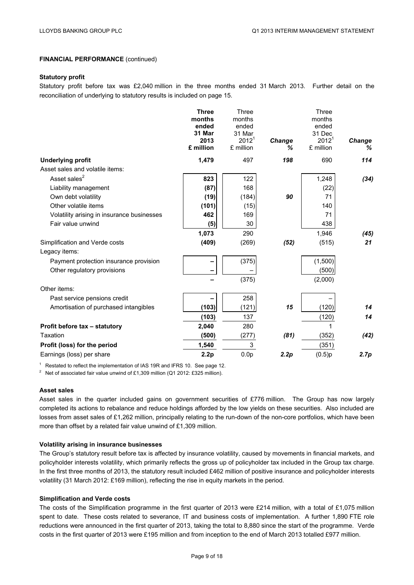#### **Statutory profit**

Statutory profit before tax was £2,040 million in the three months ended 31 March 2013. Further detail on the reconciliation of underlying to statutory results is included on page 15.

|                                            | <b>Three</b>    | Three             |        | Three             |        |
|--------------------------------------------|-----------------|-------------------|--------|-------------------|--------|
|                                            | months<br>ended | months<br>ended   |        | months<br>ended   |        |
|                                            | 31 Mar          | 31 Mar            |        | 31 Dec            |        |
|                                            | 2013            | 2012 <sup>1</sup> | Change | 2012 <sup>1</sup> | Change |
|                                            | £ million       | £ million         | %      | £ million         | %      |
| <b>Underlying profit</b>                   | 1,479           | 497               | 198    | 690               | 114    |
| Asset sales and volatile items:            |                 |                   |        |                   |        |
| Asset sales <sup>2</sup>                   | 823             | 122               |        | 1,248             | (34)   |
| Liability management                       | (87)            | 168               |        | (22)              |        |
| Own debt volatility                        | (19)            | (184)             | 90     | 71                |        |
| Other volatile items                       | (101)           | (15)              |        | 140               |        |
| Volatility arising in insurance businesses | 462             | 169               |        | 71                |        |
| Fair value unwind                          | (5)             | 30                |        | 438               |        |
|                                            | 1,073           | 290               |        | 1,946             | (45)   |
| Simplification and Verde costs             | (409)           | (269)             | (52)   | (515)             | 21     |
| Legacy items:                              |                 |                   |        |                   |        |
| Payment protection insurance provision     | -               | (375)             |        | (1,500)           |        |
| Other regulatory provisions                |                 |                   |        | (500)             |        |
|                                            |                 | (375)             |        | (2,000)           |        |
| Other items:                               |                 |                   |        |                   |        |
| Past service pensions credit               |                 | 258               |        |                   |        |
| Amortisation of purchased intangibles      | (103)           | (121)             | 15     | (120)             | 14     |
|                                            | (103)           | 137               |        | (120)             | 14     |
| Profit before tax - statutory              | 2,040           | 280               |        |                   |        |
| Taxation                                   | (500)           | (277)             | (81)   | (352)             | (42)   |
| Profit (loss) for the period               | 1,540           | 3                 |        | (351)             |        |
| Earnings (loss) per share                  | 2.2p            | 0.0 <sub>p</sub>  | 2.2p   | (0.5)p            | 2.7p   |

<sup>1</sup> Restated to reflect the implementation of IAS 19R and IFRS 10. See page 12.<br><sup>2</sup> Net of associated fair value unwind of £1,309 million (Q1 2012: £325 million).

#### **Asset sales**

Asset sales in the quarter included gains on government securities of £776 million. The Group has now largely completed its actions to rebalance and reduce holdings afforded by the low yields on these securities. Also included are losses from asset sales of £1,262 million, principally relating to the run-down of the non-core portfolios, which have been more than offset by a related fair value unwind of £1,309 million.

#### **Volatility arising in insurance businesses**

The Group's statutory result before tax is affected by insurance volatility, caused by movements in financial markets, and policyholder interests volatility, which primarily reflects the gross up of policyholder tax included in the Group tax charge. In the first three months of 2013, the statutory result included £462 million of positive insurance and policyholder interests volatility (31 March 2012: £169 million), reflecting the rise in equity markets in the period.

#### **Simplification and Verde costs**

The costs of the Simplification programme in the first quarter of 2013 were £214 million, with a total of £1,075 million spent to date. These costs related to severance, IT and business costs of implementation. A further 1,890 FTE role reductions were announced in the first quarter of 2013, taking the total to 8,880 since the start of the programme. Verde costs in the first quarter of 2013 were £195 million and from inception to the end of March 2013 totalled £977 million.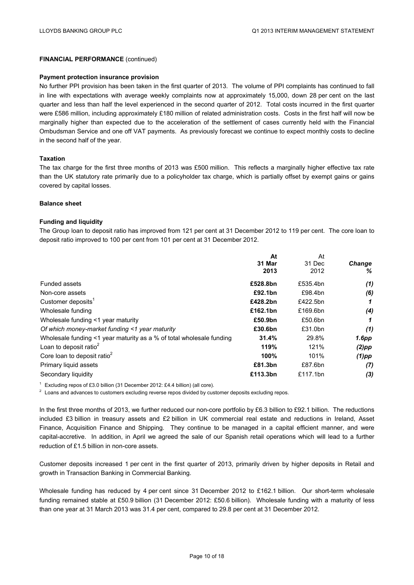#### **Payment protection insurance provision**

No further PPI provision has been taken in the first quarter of 2013. The volume of PPI complaints has continued to fall in line with expectations with average weekly complaints now at approximately 15,000, down 28 per cent on the last quarter and less than half the level experienced in the second quarter of 2012. Total costs incurred in the first quarter were £586 million, including approximately £180 million of related administration costs. Costs in the first half will now be marginally higher than expected due to the acceleration of the settlement of cases currently held with the Financial Ombudsman Service and one off VAT payments. As previously forecast we continue to expect monthly costs to decline in the second half of the year.

#### **Taxation**

The tax charge for the first three months of 2013 was £500 million. This reflects a marginally higher effective tax rate than the UK statutory rate primarily due to a policyholder tax charge, which is partially offset by exempt gains or gains covered by capital losses.

#### **Balance sheet**

#### **Funding and liquidity**

The Group loan to deposit ratio has improved from 121 per cent at 31 December 2012 to 119 per cent. The core loan to deposit ratio improved to 100 per cent from 101 per cent at 31 December 2012.

| At       | At       |               |
|----------|----------|---------------|
| 31 Mar   | 31 Dec   | <b>Change</b> |
| 2013     | 2012     | %             |
| £528.8bn | £535.4bn | (1)           |
| £92.1bn  | £98.4bn  | (6)           |
| £428.2bn | £422.5bn | 1             |
| £162.1bn | £169.6bn | (4)           |
| £50.9bn  | £50.6bn  | 1             |
| £30.6bn  | £31.0bn  | (1)           |
| 31.4%    | 29.8%    | 1.6pp         |
| 119%     | 121%     | $(2)$ pp      |
| 100%     | 101%     | $(1)$ pp      |
| £81.3bn  | £87.6bn  | (7)           |
| £113.3bn | £117.1bn | (3)           |
|          |          |               |

<sup>1</sup> Excluding repos of £3.0 billion (31 December 2012: £4.4 billion) (all core).<br><sup>2</sup> Loans and advances to customers excluding reverse repos divided by customer deposits excluding repos.

In the first three months of 2013, we further reduced our non-core portfolio by £6.3 billion to £92.1 billion. The reductions included £3 billion in treasury assets and £2 billion in UK commercial real estate and reductions in Ireland, Asset Finance, Acquisition Finance and Shipping. They continue to be managed in a capital efficient manner, and were capital-accretive. In addition, in April we agreed the sale of our Spanish retail operations which will lead to a further reduction of £1.5 billion in non-core assets.

Customer deposits increased 1 per cent in the first quarter of 2013, primarily driven by higher deposits in Retail and growth in Transaction Banking in Commercial Banking.

Wholesale funding has reduced by 4 per cent since 31 December 2012 to £162.1 billion. Our short-term wholesale funding remained stable at £50.9 billion (31 December 2012: £50.6 billion). Wholesale funding with a maturity of less than one year at 31 March 2013 was 31.4 per cent, compared to 29.8 per cent at 31 December 2012.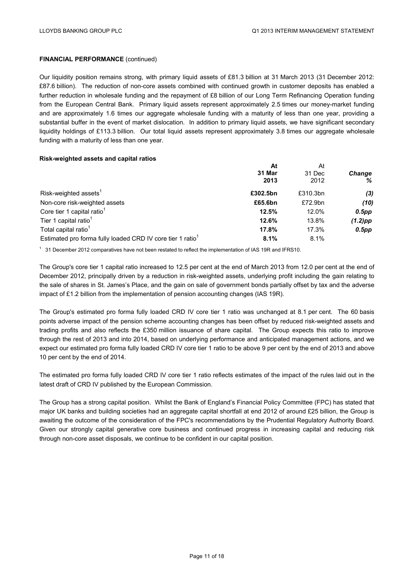Our liquidity position remains strong, with primary liquid assets of £81.3 billion at 31 March 2013 (31 December 2012: £87.6 billion). The reduction of non-core assets combined with continued growth in customer deposits has enabled a further reduction in wholesale funding and the repayment of £8 billion of our Long Term Refinancing Operation funding from the European Central Bank. Primary liquid assets represent approximately 2.5 times our money-market funding and are approximately 1.6 times our aggregate wholesale funding with a maturity of less than one year, providing a substantial buffer in the event of market dislocation. In addition to primary liquid assets, we have significant secondary liquidity holdings of £113.3 billion. Our total liquid assets represent approximately 3.8 times our aggregate wholesale funding with a maturity of less than one year.

#### **Risk-weighted assets and capital ratios**

| At       | At       |               |
|----------|----------|---------------|
| 31 Mar   | 31 Dec   | <b>Change</b> |
| 2013     | 2012     | %             |
| £302.5bn | £310.3bn | (3)           |
| £65.6bn  | £72.9bn  | (10)          |
| 12.5%    | 12.0%    | $0.5$ pp      |
| 12.6%    | 13.8%    | $(1.2)$ pp    |
| 17.8%    | 17.3%    | $0.5$ pp      |
| 8.1%     | 8.1%     |               |
|          |          |               |

 $1$  31 December 2012 comparatives have not been restated to reflect the implementation of IAS 19R and IFRS10.

The Group's core tier 1 capital ratio increased to 12.5 per cent at the end of March 2013 from 12.0 per cent at the end of December 2012, principally driven by a reduction in risk-weighted assets, underlying profit including the gain relating to the sale of shares in St. James's Place, and the gain on sale of government bonds partially offset by tax and the adverse impact of £1.2 billion from the implementation of pension accounting changes (IAS 19R).

The Group's estimated pro forma fully loaded CRD IV core tier 1 ratio was unchanged at 8.1 per cent. The 60 basis points adverse impact of the pension scheme accounting changes has been offset by reduced risk-weighted assets and trading profits and also reflects the £350 million issuance of share capital. The Group expects this ratio to improve through the rest of 2013 and into 2014, based on underlying performance and anticipated management actions, and we expect our estimated pro forma fully loaded CRD IV core tier 1 ratio to be above 9 per cent by the end of 2013 and above 10 per cent by the end of 2014.

The estimated pro forma fully loaded CRD IV core tier 1 ratio reflects estimates of the impact of the rules laid out in the latest draft of CRD IV published by the European Commission.

The Group has a strong capital position. Whilst the Bank of England's Financial Policy Committee (FPC) has stated that major UK banks and building societies had an aggregate capital shortfall at end 2012 of around £25 billion, the Group is awaiting the outcome of the consideration of the FPC's recommendations by the Prudential Regulatory Authority Board. Given our strongly capital generative core business and continued progress in increasing capital and reducing risk through non-core asset disposals, we continue to be confident in our capital position.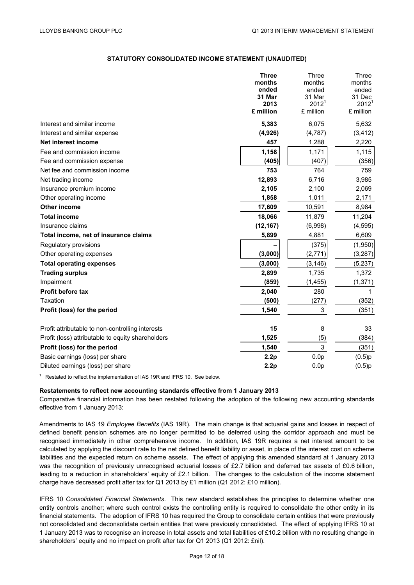#### **STATUTORY CONSOLIDATED INCOME STATEMENT (UNAUDITED)**

|                                                   | <b>Three</b>   | Three                       | Three                       |
|---------------------------------------------------|----------------|-----------------------------|-----------------------------|
|                                                   | months         | months                      | months                      |
|                                                   | ended          | ended                       | ended                       |
|                                                   | 31 Mar<br>2013 | 31 Mar<br>2012 <sup>1</sup> | 31 Dec<br>2012 <sup>1</sup> |
|                                                   | £ million      | £ million                   | £ million                   |
|                                                   |                |                             |                             |
| Interest and similar income                       | 5,383          | 6,075                       | 5,632                       |
| Interest and similar expense                      | (4,926)        | (4, 787)                    | (3, 412)                    |
| Net interest income                               | 457            | 1,288                       | 2,220                       |
| Fee and commission income                         | 1,158          | 1,171                       | 1,115                       |
| Fee and commission expense                        | (405)          | (407)                       | (356)                       |
| Net fee and commission income                     | 753            | 764                         | 759                         |
| Net trading income                                | 12,893         | 6,716                       | 3,985                       |
| Insurance premium income                          | 2,105          | 2,100                       | 2,069                       |
| Other operating income                            | 1,858          | 1,011                       | 2,171                       |
| Other income                                      | 17,609         | 10,591                      | 8,984                       |
| <b>Total income</b>                               | 18,066         | 11,879                      | 11,204                      |
| Insurance claims                                  | (12, 167)      | (6,998)                     | (4, 595)                    |
| Total income, net of insurance claims             | 5,899          | 4,881                       | 6,609                       |
| Regulatory provisions                             |                | (375)                       | (1,950)                     |
| Other operating expenses                          | (3,000)        | (2,771)                     | (3, 287)                    |
| <b>Total operating expenses</b>                   | (3,000)        | (3, 146)                    | (5, 237)                    |
| <b>Trading surplus</b>                            | 2,899          | 1,735                       | 1,372                       |
| Impairment                                        | (859)          | (1, 455)                    | (1, 371)                    |
| <b>Profit before tax</b>                          | 2,040          | 280                         | 1                           |
| Taxation                                          | (500)          | (277)                       | (352)                       |
| Profit (loss) for the period                      | 1,540          | 3                           | (351)                       |
| Profit attributable to non-controlling interests  | 15             | 8                           | 33                          |
| Profit (loss) attributable to equity shareholders | 1,525          | (5)                         | (384)                       |
| Profit (loss) for the period                      | 1,540          | 3                           | (351)                       |
| Basic earnings (loss) per share                   | 2.2p           | 0.0 <sub>p</sub>            | (0.5)p                      |
| Diluted earnings (loss) per share                 | 2.2p           | 0.0 <sub>p</sub>            | (0.5)p                      |
|                                                   |                |                             |                             |

<sup>1</sup> Restated to reflect the implementation of IAS 19R and IFRS 10. See below.

#### **Restatements to reflect new accounting standards effective from 1 January 2013**

Comparative financial information has been restated following the adoption of the following new accounting standards effective from 1 January 2013:

Amendments to IAS 19 *Employee Benefits* (IAS 19R). The main change is that actuarial gains and losses in respect of defined benefit pension schemes are no longer permitted to be deferred using the corridor approach and must be recognised immediately in other comprehensive income. In addition, IAS 19R requires a net interest amount to be calculated by applying the discount rate to the net defined benefit liability or asset, in place of the interest cost on scheme liabilities and the expected return on scheme assets. The effect of applying this amended standard at 1 January 2013 was the recognition of previously unrecognised actuarial losses of £2.7 billion and deferred tax assets of £0.6 billion, leading to a reduction in shareholders' equity of £2.1 billion. The changes to the calculation of the income statement charge have decreased profit after tax for Q1 2013 by £1 million (Q1 2012: £10 million).

IFRS 10 *Consolidated Financial Statements*. This new standard establishes the principles to determine whether one entity controls another; where such control exists the controlling entity is required to consolidate the other entity in its financial statements. The adoption of IFRS 10 has required the Group to consolidate certain entities that were previously not consolidated and deconsolidate certain entities that were previously consolidated. The effect of applying IFRS 10 at 1 January 2013 was to recognise an increase in total assets and total liabilities of £10.2 billion with no resulting change in shareholders' equity and no impact on profit after tax for Q1 2013 (Q1 2012: £nil).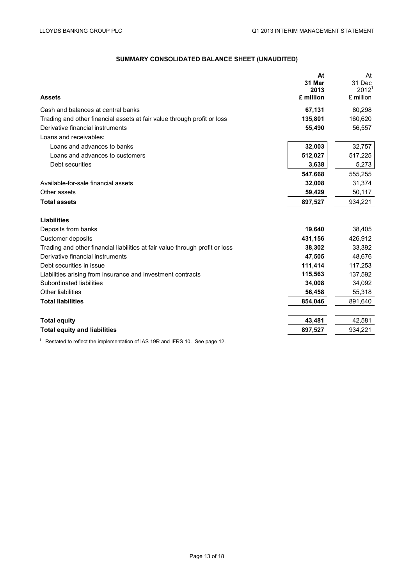# **SUMMARY CONSOLIDATED BALANCE SHEET (UNAUDITED)**

| <b>Assets</b>                                                                | At<br>31 Mar<br>2013<br>£ million | At<br>31 Dec<br>2012 <sup>1</sup><br>£ million |
|------------------------------------------------------------------------------|-----------------------------------|------------------------------------------------|
| Cash and balances at central banks                                           | 67,131                            | 80,298                                         |
| Trading and other financial assets at fair value through profit or loss      | 135,801                           | 160,620                                        |
| Derivative financial instruments                                             | 55,490                            | 56,557                                         |
| Loans and receivables:                                                       |                                   |                                                |
| Loans and advances to banks                                                  | 32,003                            | 32,757                                         |
| Loans and advances to customers                                              | 512,027                           | 517,225                                        |
| Debt securities                                                              | 3,638                             | 5,273                                          |
|                                                                              | 547,668                           | 555,255                                        |
| Available-for-sale financial assets                                          | 32,008                            | 31,374                                         |
| Other assets                                                                 | 59,429                            | 50,117                                         |
| <b>Total assets</b>                                                          | 897,527                           | 934,221                                        |
| <b>Liabilities</b>                                                           |                                   |                                                |
| Deposits from banks                                                          | 19,640                            | 38,405                                         |
| Customer deposits                                                            | 431,156                           | 426,912                                        |
| Trading and other financial liabilities at fair value through profit or loss | 38,302                            | 33,392                                         |
| Derivative financial instruments                                             | 47,505                            | 48,676                                         |
| Debt securities in issue                                                     | 111,414                           | 117,253                                        |
| Liabilities arising from insurance and investment contracts                  | 115,563                           | 137,592                                        |
| Subordinated liabilities                                                     | 34,008                            | 34,092                                         |
| <b>Other liabilities</b>                                                     | 56,458                            | 55,318                                         |
| <b>Total liabilities</b>                                                     | 854,046                           | 891,640                                        |
| <b>Total equity</b>                                                          | 43,481                            | 42,581                                         |
| <b>Total equity and liabilities</b>                                          | 897,527                           | 934,221                                        |

<sup>1</sup> Restated to reflect the implementation of IAS 19R and IFRS 10. See page 12.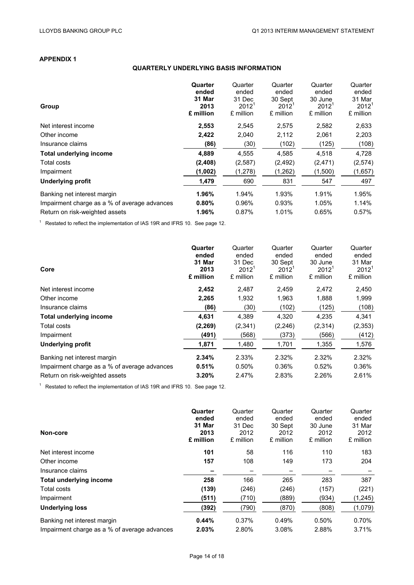# **APPENDIX 1**

# **QUARTERLY UNDERLYING BASIS INFORMATION**

| Group                                        | Quarter<br>ended<br>31 Mar<br>2013<br>£ million | Quarter<br>ended<br>31 Dec<br>$2012^1$<br>£ million | Quarter<br>ended<br>30 Sept<br>$2012^1$<br>£ million | Quarter<br>ended<br>30 June<br>$2012^1$<br>£ million | Quarter<br>ended<br>31 Mar<br>2012 <sup>1</sup><br>£ million |
|----------------------------------------------|-------------------------------------------------|-----------------------------------------------------|------------------------------------------------------|------------------------------------------------------|--------------------------------------------------------------|
| Net interest income                          | 2,553                                           | 2,545                                               | 2,575                                                | 2,582                                                | 2,633                                                        |
| Other income                                 | 2,422                                           | 2,040                                               | 2,112                                                | 2,061                                                | 2,203                                                        |
| Insurance claims                             | (86)                                            | (30)                                                | (102)                                                | (125)                                                | (108)                                                        |
| <b>Total underlying income</b>               | 4,889                                           | 4,555                                               | 4,585                                                | 4,518                                                | 4,728                                                        |
| Total costs                                  | (2,408)                                         | (2,587)                                             | (2, 492)                                             | (2, 471)                                             | (2,574)                                                      |
| Impairment                                   | (1,002)                                         | (1,278)                                             | (1, 262)                                             | (1,500)                                              | (1,657)                                                      |
| <b>Underlying profit</b>                     | 1,479                                           | 690                                                 | 831                                                  | 547                                                  | 497                                                          |
| Banking net interest margin                  | 1.96%                                           | 1.94%                                               | 1.93%                                                | 1.91%                                                | 1.95%                                                        |
| Impairment charge as a % of average advances | 0.80%                                           | 0.96%                                               | 0.93%                                                | 1.05%                                                | 1.14%                                                        |
| Return on risk-weighted assets               | 1.96%                                           | 0.87%                                               | 1.01%                                                | 0.65%                                                | 0.57%                                                        |

<sup>1</sup> Restated to reflect the implementation of IAS 19R and IFRS 10. See page 12.

| Core                                         | Quarter<br>ended<br>31 Mar<br>2013<br>£ million | Quarter<br>ended<br>31 Dec<br>$2012^1$<br>£ million | Quarter<br>ended<br>30 Sept<br>$2012^1$<br>£ million | Quarter<br>ended<br>30 June<br>$2012^1$<br>£ million | Quarter<br>ended<br>31 Mar<br>2012 <sup>1</sup><br>£ million |
|----------------------------------------------|-------------------------------------------------|-----------------------------------------------------|------------------------------------------------------|------------------------------------------------------|--------------------------------------------------------------|
| Net interest income                          | 2,452                                           | 2,487                                               | 2,459                                                | 2,472                                                | 2,450                                                        |
| Other income                                 | 2,265                                           | 1,932                                               | 1,963                                                | 1,888                                                | 1,999                                                        |
| Insurance claims                             | (86)                                            | (30)                                                | (102)                                                | (125)                                                | (108)                                                        |
| <b>Total underlying income</b>               | 4,631                                           | 4,389                                               | 4,320                                                | 4,235                                                | 4,341                                                        |
| Total costs                                  | (2, 269)                                        | (2,341)                                             | (2, 246)                                             | (2,314)                                              | (2, 353)                                                     |
| Impairment                                   | (491)                                           | (568)                                               | (373)                                                | (566)                                                | (412)                                                        |
| <b>Underlying profit</b>                     | 1,871                                           | 1,480                                               | 1,701                                                | 1,355                                                | 1,576                                                        |
| Banking net interest margin                  | 2.34%                                           | 2.33%                                               | 2.32%                                                | 2.32%                                                | 2.32%                                                        |
| Impairment charge as a % of average advances | 0.51%                                           | 0.50%                                               | 0.36%                                                | 0.52%                                                | 0.36%                                                        |
| Return on risk-weighted assets               | 3.20%                                           | 2.47%                                               | 2.83%                                                | 2.26%                                                | 2.61%                                                        |

<sup>1</sup> Restated to reflect the implementation of IAS 19R and IFRS 10. See page 12.

| Non-core                                     | Quarter<br>ended<br>31 Mar<br>2013<br>£ million | Quarter<br>ended<br>31 Dec<br>2012<br>£ million | Quarter<br>ended<br>30 Sept<br>2012<br>£ million | Quarter<br>ended<br>30 June<br>2012<br>£ million | Quarter<br>ended<br>31 Mar<br>2012<br>£ million |
|----------------------------------------------|-------------------------------------------------|-------------------------------------------------|--------------------------------------------------|--------------------------------------------------|-------------------------------------------------|
| Net interest income                          | 101                                             | 58                                              | 116                                              | 110                                              | 183                                             |
| Other income                                 | 157                                             | 108                                             | 149                                              | 173                                              | 204                                             |
| Insurance claims                             | $\overline{\phantom{0}}$                        |                                                 |                                                  |                                                  |                                                 |
| <b>Total underlying income</b>               | 258                                             | 166                                             | 265                                              | 283                                              | 387                                             |
| Total costs                                  | (139)                                           | (246)                                           | (246)                                            | (157)                                            | (221)                                           |
| Impairment                                   | (511)                                           | (710)                                           | (889)                                            | (934)                                            | (1, 245)                                        |
| <b>Underlying loss</b>                       | (392)                                           | (790)                                           | (870)                                            | (808)                                            | (1,079)                                         |
| Banking net interest margin                  | 0.44%                                           | 0.37%                                           | 0.49%                                            | 0.50%                                            | 0.70%                                           |
| Impairment charge as a % of average advances | 2.03%                                           | 2.80%                                           | 3.08%                                            | 2.88%                                            | 3.71%                                           |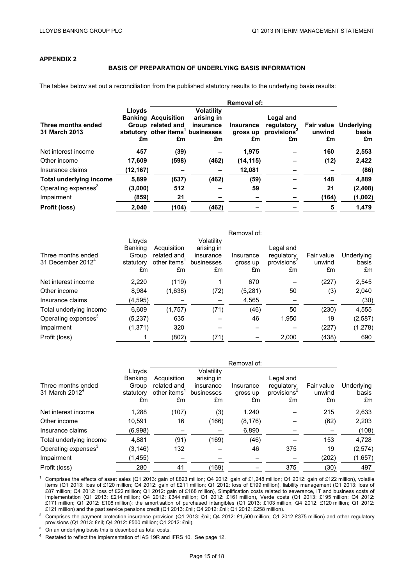# **APPENDIX 2**

#### **BASIS OF PREPARATION OF UNDERLYING BASIS INFORMATION**

The tables below set out a reconciliation from the published statutory results to the underlying basis results:

|                                     | <b>Removal of:</b>             |                                                                                     |                                                                  |                                    |                                                          |              |                                      |  |
|-------------------------------------|--------------------------------|-------------------------------------------------------------------------------------|------------------------------------------------------------------|------------------------------------|----------------------------------------------------------|--------------|--------------------------------------|--|
| Three months ended<br>31 March 2013 | Lloyds<br><b>Banking</b><br>£m | <b>Acquisition</b><br>Group related and<br>statutory other items <sup>1</sup><br>£m | <b>Volatility</b><br>arising in<br>insurance<br>businesses<br>£m | <b>Insurance</b><br>gross up<br>£m | Legal and<br>regulatory<br>provisions <sup>2</sup><br>£m | unwind<br>£m | Fair value Underlying<br>basis<br>£m |  |
| Net interest income                 | 457                            | (39)                                                                                |                                                                  | 1.975                              |                                                          | 160          | 2,553                                |  |
| Other income                        | 17,609                         | (598)                                                                               | (462)                                                            | (14, 115)                          |                                                          | (12)         | 2,422                                |  |
| Insurance claims                    | (12,167)                       |                                                                                     |                                                                  | 12,081                             |                                                          |              | (86)                                 |  |
| <b>Total underlying income</b>      | 5.899                          | (637)                                                                               | (462)                                                            | (59)                               |                                                          | 148          | 4,889                                |  |
| Operating expenses <sup>3</sup>     | (3,000)                        | 512                                                                                 |                                                                  | 59                                 |                                                          | 21           | (2, 408)                             |  |
| Impairment                          | (859)                          | 21                                                                                  |                                                                  |                                    |                                                          | (164)        | (1,002)                              |  |
| Profit (loss)                       | 2,040                          | (104)                                                                               | (462)                                                            |                                    |                                                          | 5            | 1,479                                |  |

|                                 |                |                          |            | Removal of: |            |            |            |
|---------------------------------|----------------|--------------------------|------------|-------------|------------|------------|------------|
|                                 | Lloyds         |                          | Volatility |             |            |            |            |
|                                 | <b>Banking</b> | Acquisition              | arising in |             | Legal and  |            |            |
| Three months ended              | Group          | related and              | insurance  | Insurance   | regulatory | Fair value | Underlying |
| 31 December 2012 <sup>4</sup>   | statutory      | other items <sup>1</sup> | businesses | gross up    | provisions | unwind     | basis      |
|                                 | £m             | £m                       | £m         | £m          | £m         | £m         | £m         |
| Net interest income             | 2,220          | (119)                    |            | 670         |            | (227)      | 2,545      |
| Other income                    | 8,984          | (1,638)                  | (72)       | (5,281)     | 50         | (3)        | 2,040      |
| Insurance claims                | (4, 595)       |                          |            | 4,565       |            |            | (30)       |
| Total underlying income         | 6,609          | (1,757)                  | (71)       | (46)        | 50         | (230)      | 4,555      |
| Operating expenses <sup>3</sup> | (5,237)        | 635                      |            | 46          | 1,950      | 19         | (2,587)    |
| Impairment                      | (1, 371)       | 320                      |            |             |            | (227)      | (1, 278)   |
| Profit (loss)                   |                | (802)                    | (71)       |             | 2,000      | (438)      | 690        |

|                                 | Removal of:    |             |            |           |                         |            |            |
|---------------------------------|----------------|-------------|------------|-----------|-------------------------|------------|------------|
|                                 | Lloyds         |             | Volatility |           |                         |            |            |
|                                 | <b>Banking</b> | Acquisition | arising in |           | Legal and               |            |            |
| Three months ended              | Group          | related and | insurance  | Insurance | regulatory              | Fair value | Underlying |
| 31 March 2012 <sup>4</sup>      | statutory      | other items | businesses | gross up  | provisions <sup>4</sup> | unwind     | basis      |
|                                 | £m             | £m          | £m         | £m        | £m                      | £m         | £m         |
| Net interest income             | 1,288          | (107)       | (3)        | 1,240     |                         | 215        | 2,633      |
| Other income                    | 10,591         | 16          | (166)      | (8, 176)  |                         | (62)       | 2,203      |
| Insurance claims                | (6,998)        |             |            | 6,890     |                         |            | (108)      |
| Total underlying income         | 4,881          | (91)        | (169)      | (46)      |                         | 153        | 4,728      |
| Operating expenses <sup>3</sup> | (3, 146)       | 132         |            | 46        | 375                     | 19         | (2, 574)   |
| Impairment                      | (1, 455)       |             |            |           |                         | (202)      | (1,657)    |
| Profit (loss)                   | 280            | 41          | (169)      |           | 375                     | (30)       | 497        |

<sup>1</sup> Comprises the effects of asset sales (Q1 2013: gain of £823 million; Q4 2012: gain of £1,248 million; Q1 2012: gain of £122 million), volatile items (Q1 2013: loss of £120 million; Q4 2012: gain of £211 million; Q1 2012: loss of £199 million), liability management (Q1 2013: loss of £87 million; Q4 2012: loss of £22 million; Q1 2012: gain of £168 million), Simplification costs related to severance, IT and business costs of implementation (Q1 2013: £214 million; Q4 2012: £344 million; Q1 2012: £161 million), Verde costs (Q1 2013: £195 million; Q4 2012: £171 million; Q1 2012: £108 million); the amortisation of purchased intangibles (Q1 2013: £103 million; Q4 2012: £120 million; Q1 2012: £2121 million; Q1 2012: £120 million; Q1 2012: £120 million; Q1 2012: £121 million) a

<sup>2</sup> Comprises the payment protection insurance provision (Q1 2013: £nil; Q4 2012: £1,500 million; Q1 2012 £375 million) and other regulatory provisions (Q1 2013: £nil; Q4 2012: £500 million; Q1 2012: £nil).

 $\frac{3}{2}$  On an underlying basis this is described as total costs.<br>4 Restated to reflect the implementation of IAS 19R and IFRS 10. See page 12.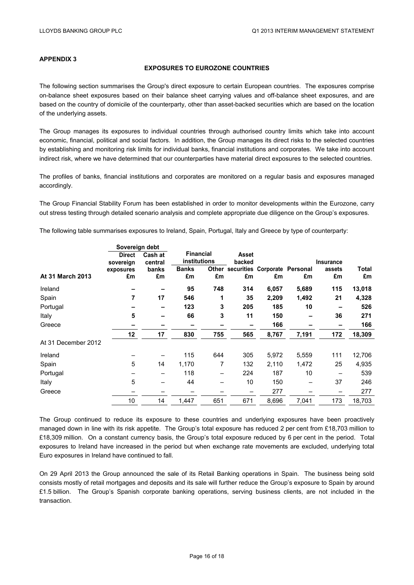# **APPENDIX 3**

#### **EXPOSURES TO EUROZONE COUNTRIES**

The following section summarises the Group's direct exposure to certain European countries. The exposures comprise on-balance sheet exposures based on their balance sheet carrying values and off-balance sheet exposures, and are based on the country of domicile of the counterparty, other than asset-backed securities which are based on the location of the underlying assets.

The Group manages its exposures to individual countries through authorised country limits which take into account economic, financial, political and social factors. In addition, the Group manages its direct risks to the selected countries by establishing and monitoring risk limits for individual banks, financial institutions and corporates. We take into account indirect risk, where we have determined that our counterparties have material direct exposures to the selected countries.

The profiles of banks, financial institutions and corporates are monitored on a regular basis and exposures managed accordingly.

The Group Financial Stability Forum has been established in order to monitor developments within the Eurozone, carry out stress testing through detailed scenario analysis and complete appropriate due diligence on the Group's exposures.

The following table summarises exposures to Ireland, Spain, Portugal, Italy and Greece by type of counterparty:

|                     | Sovereign debt             |                    |              |                                         |     |                                     |       |                  |              |
|---------------------|----------------------------|--------------------|--------------|-----------------------------------------|-----|-------------------------------------|-------|------------------|--------------|
|                     | <b>Direct</b><br>sovereign | Cash at<br>central |              | <b>Financial</b><br><b>institutions</b> |     | <b>Asset</b><br>backed              |       | <b>Insurance</b> |              |
|                     | exposures                  | banks              | <b>Banks</b> |                                         |     | Other securities Corporate Personal |       | assets           | <b>Total</b> |
| At 31 March 2013    | £m                         | £m                 | £m           | £m                                      | £m  | £m                                  | £m    | £m               | £m           |
| Ireland             |                            |                    | 95           | 748                                     | 314 | 6,057                               | 5,689 | 115              | 13,018       |
| Spain               | 7                          | 17                 | 546          | 1                                       | 35  | 2,209                               | 1,492 | 21               | 4,328        |
| Portugal            |                            | -                  | 123          | 3                                       | 205 | 185                                 | 10    |                  | 526          |
| Italy               | 5                          |                    | 66           | 3                                       | 11  | 150                                 |       | 36               | 271          |
| Greece              |                            |                    | -            |                                         |     | 166                                 |       |                  | 166          |
|                     | 12                         | 17                 | 830          | 755                                     | 565 | 8,767                               | 7,191 | 172              | 18,309       |
| At 31 December 2012 |                            |                    |              |                                         |     |                                     |       |                  |              |
| Ireland             |                            |                    | 115          | 644                                     | 305 | 5,972                               | 5,559 | 111              | 12,706       |
| Spain               | 5                          | 14                 | 1,170        | 7                                       | 132 | 2,110                               | 1,472 | 25               | 4,935        |
| Portugal            |                            |                    | 118          |                                         | 224 | 187                                 | 10    |                  | 539          |
| Italy               | 5                          |                    | 44           |                                         | 10  | 150                                 |       | 37               | 246          |
| Greece              |                            |                    |              |                                         |     | 277                                 |       |                  | 277          |
|                     | 10                         | 14                 | 1,447        | 651                                     | 671 | 8,696                               | 7,041 | 173              | 18,703       |

The Group continued to reduce its exposure to these countries and underlying exposures have been proactively managed down in line with its risk appetite. The Group's total exposure has reduced 2 per cent from £18,703 million to £18,309 million. On a constant currency basis, the Group's total exposure reduced by 6 per cent in the period. Total exposures to Ireland have increased in the period but when exchange rate movements are excluded, underlying total Euro exposures in Ireland have continued to fall.

On 29 April 2013 the Group announced the sale of its Retail Banking operations in Spain. The business being sold consists mostly of retail mortgages and deposits and its sale will further reduce the Group's exposure to Spain by around £1.5 billion. The Group's Spanish corporate banking operations, serving business clients, are not included in the transaction.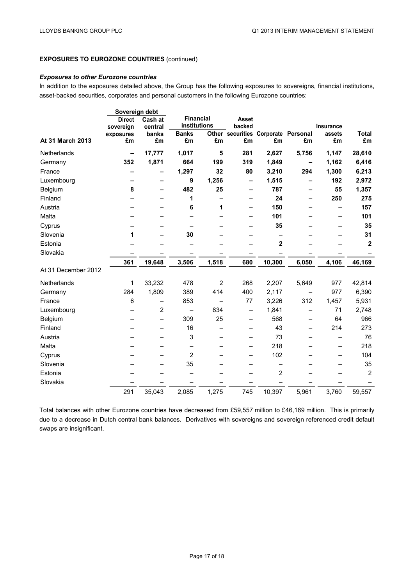# **EXPOSURES TO EUROZONE COUNTRIES** (continued)

#### *Exposures to other Eurozone countries*

In addition to the exposures detailed above, the Group has the following exposures to sovereigns, financial institutions, asset-backed securities, corporates and personal customers in the following Eurozone countries:

|                     |                 | Sovereign debt |                    |                          |                          |                                           |                          |                  |                    |
|---------------------|-----------------|----------------|--------------------|--------------------------|--------------------------|-------------------------------------------|--------------------------|------------------|--------------------|
|                     | <b>Direct</b>   | Cash at        | <b>Financial</b>   |                          | <b>Asset</b>             |                                           |                          |                  |                    |
|                     | sovereign       | central        | institutions       |                          | backed                   |                                           |                          | <b>Insurance</b> |                    |
| At 31 March 2013    | exposures<br>£m | banks<br>£m    | <b>Banks</b><br>£m | £m                       | £m                       | Other securities Corporate Personal<br>£m | £m                       | assets<br>£m     | <b>Total</b><br>£m |
|                     |                 |                |                    |                          |                          |                                           |                          |                  |                    |
| Netherlands         |                 | 17,777         | 1,017              | 5                        | 281                      | 2,627                                     | 5,756                    | 1,147            | 28,610             |
| Germany             | 352             | 1,871          | 664                | 199                      | 319                      | 1,849                                     | —                        | 1,162            | 6,416              |
| France              |                 |                | 1,297              | 32                       | 80                       | 3,210                                     | 294                      | 1,300            | 6,213              |
| Luxembourg          |                 | -              | 9                  | 1,256                    | $\qquad \qquad$          | 1,515                                     | -                        | 192              | 2,972              |
| Belgium             | 8               |                | 482                | 25                       | $\overline{\phantom{0}}$ | 787                                       |                          | 55               | 1,357              |
| Finland             |                 |                | 1                  |                          |                          | 24                                        |                          | 250              | 275                |
| Austria             |                 |                | 6                  | 1                        |                          | 150                                       |                          |                  | 157                |
| Malta               |                 |                |                    |                          |                          | 101                                       |                          |                  | 101                |
| Cyprus              |                 |                |                    |                          |                          | 35                                        |                          |                  | 35                 |
| Slovenia            | 1               |                | 30                 |                          |                          |                                           |                          |                  | 31                 |
| Estonia             |                 |                |                    |                          |                          | 2                                         |                          |                  | $\boldsymbol{2}$   |
| Slovakia            |                 |                |                    |                          |                          |                                           |                          |                  |                    |
|                     | 361             | 19,648         | 3,506              | 1,518                    | 680                      | 10,300                                    | 6,050                    | 4,106            | 46,169             |
| At 31 December 2012 |                 |                |                    |                          |                          |                                           |                          |                  |                    |
| Netherlands         | 1               | 33,232         | 478                | 2                        | 268                      | 2,207                                     | 5,649                    | 977              | 42,814             |
| Germany             | 284             | 1,809          | 389                | 414                      | 400                      | 2,117                                     |                          | 977              | 6,390              |
| France              | 6               | -              | 853                | $\overline{\phantom{0}}$ | 77                       | 3,226                                     | 312                      | 1,457            | 5,931              |
| Luxembourg          |                 | $\overline{2}$ | $\qquad \qquad -$  | 834                      | $\qquad \qquad -$        | 1,841                                     | $\overline{\phantom{0}}$ | 71               | 2,748              |
| Belgium             |                 | —              | 309                | 25                       | -                        | 568                                       |                          | 64               | 966                |
| Finland             |                 | —              | 16                 |                          |                          | 43                                        | $\overline{\phantom{0}}$ | 214              | 273                |
| Austria             |                 |                | 3                  |                          |                          | 73                                        |                          |                  | 76                 |
| Malta               |                 |                | -                  |                          | -                        | 218                                       |                          | —                | 218                |
| Cyprus              |                 |                | $\overline{2}$     |                          |                          | 102                                       |                          |                  | 104                |
| Slovenia            |                 |                | 35                 |                          | $\overline{\phantom{0}}$ | —                                         |                          |                  | 35                 |
| Estonia             |                 |                |                    |                          |                          | $\overline{2}$                            |                          |                  | $\overline{2}$     |
| Slovakia            |                 |                |                    |                          |                          |                                           |                          |                  |                    |
|                     | 291             | 35,043         | 2,085              | 1,275                    | 745                      | 10,397                                    | 5,961                    | 3,760            | 59,557             |

Total balances with other Eurozone countries have decreased from £59,557 million to £46,169 million. This is primarily due to a decrease in Dutch central bank balances. Derivatives with sovereigns and sovereign referenced credit default swaps are insignificant.